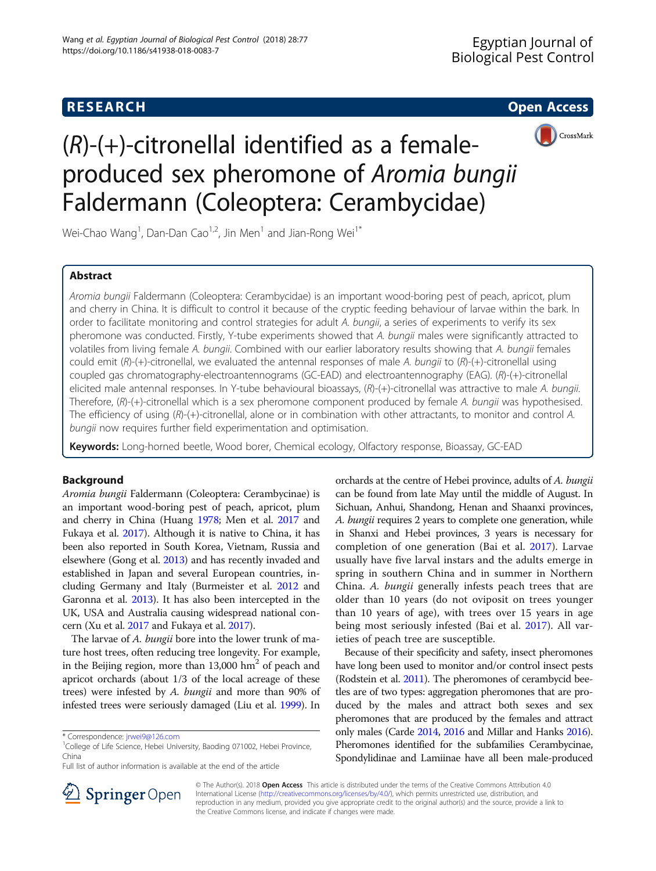## **RESEARCH CHEAR CHEAR CHEAR CHEAR CHEAR CHEAR CHEAR CHEAR CHEAR CHEAR CHEAR CHEAR CHEAR CHEAR CHEAR CHEAR CHEAR**



# $(R)-(+)$ -citronellal identified as a femaleproduced sex pheromone of Aromia bungii Faldermann (Coleoptera: Cerambycidae)

Wei-Chao Wang<sup>1</sup>, Dan-Dan Cao<sup>1,2</sup>, Jin Men<sup>1</sup> and Jian-Rong Wei<sup>1\*</sup>

## Abstract

Aromia bungii Faldermann (Coleoptera: Cerambycidae) is an important wood-boring pest of peach, apricot, plum and cherry in China. It is difficult to control it because of the cryptic feeding behaviour of larvae within the bark. In order to facilitate monitoring and control strategies for adult A. bungii, a series of experiments to verify its sex pheromone was conducted. Firstly, Y-tube experiments showed that A. bungii males were significantly attracted to volatiles from living female A. bungii. Combined with our earlier laboratory results showing that A. bungii females could emit  $(R)$ -(+)-citronellal, we evaluated the antennal responses of male A. bungii to  $(R)$ -(+)-citronellal using coupled gas chromatography-electroantennograms (GC-EAD) and electroantennography (EAG). (R)-(+)-citronellal elicited male antennal responses. In Y-tube behavioural bioassays,  $(R)$ -(+)-citronellal was attractive to male A. bungii. Therefore, (R)-(+)-citronellal which is a sex pheromone component produced by female A. bungii was hypothesised. The efficiency of using (R)-(+)-citronellal, alone or in combination with other attractants, to monitor and control A. bungii now requires further field experimentation and optimisation.

Keywords: Long-horned beetle, Wood borer, Chemical ecology, Olfactory response, Bioassay, GC-EAD

### **Background**

Aromia bungii Faldermann (Coleoptera: Cerambycinae) is an important wood-boring pest of peach, apricot, plum and cherry in China (Huang [1978;](#page-5-0) Men et al. [2017](#page-5-0) and Fukaya et al. [2017\)](#page-5-0). Although it is native to China, it has been also reported in South Korea, Vietnam, Russia and elsewhere (Gong et al. [2013\)](#page-5-0) and has recently invaded and established in Japan and several European countries, including Germany and Italy (Burmeister et al. [2012](#page-5-0) and Garonna et al. [2013\)](#page-5-0). It has also been intercepted in the UK, USA and Australia causing widespread national concern (Xu et al. [2017](#page-5-0) and Fukaya et al. [2017\)](#page-5-0).

The larvae of A. bungii bore into the lower trunk of mature host trees, often reducing tree longevity. For example, in the Beijing region, more than  $13,000$  hm<sup>2</sup> of peach and apricot orchards (about 1/3 of the local acreage of these trees) were infested by A. bungii and more than 90% of infested trees were seriously damaged (Liu et al. [1999\)](#page-5-0). In

orchards at the centre of Hebei province, adults of A. bungii can be found from late May until the middle of August. In Sichuan, Anhui, Shandong, Henan and Shaanxi provinces, A. bungii requires 2 years to complete one generation, while in Shanxi and Hebei provinces, 3 years is necessary for completion of one generation (Bai et al. [2017](#page-5-0)). Larvae usually have five larval instars and the adults emerge in spring in southern China and in summer in Northern China. A. bungii generally infests peach trees that are older than 10 years (do not oviposit on trees younger than 10 years of age), with trees over 15 years in age being most seriously infested (Bai et al. [2017\)](#page-5-0). All varieties of peach tree are susceptible.

Because of their specificity and safety, insect pheromones have long been used to monitor and/or control insect pests (Rodstein et al. [2011](#page-5-0)). The pheromones of cerambycid beetles are of two types: aggregation pheromones that are produced by the males and attract both sexes and sex pheromones that are produced by the females and attract only males (Carde [2014,](#page-5-0) [2016](#page-5-0) and Millar and Hanks [2016](#page-5-0)). Pheromones identified for the subfamilies Cerambycinae, Spondylidinae and Lamiinae have all been male-produced



© The Author(s). 2018 Open Access This article is distributed under the terms of the Creative Commons Attribution 4.0 International License ([http://creativecommons.org/licenses/by/4.0/\)](http://creativecommons.org/licenses/by/4.0/), which permits unrestricted use, distribution, and reproduction in any medium, provided you give appropriate credit to the original author(s) and the source, provide a link to the Creative Commons license, and indicate if changes were made.

<sup>\*</sup> Correspondence: [jrwei9@126.com](mailto:jrwei9@126.com) <sup>1</sup>

<sup>&</sup>lt;sup>1</sup>College of Life Science, Hebei University, Baoding 071002, Hebei Province, China

Full list of author information is available at the end of the article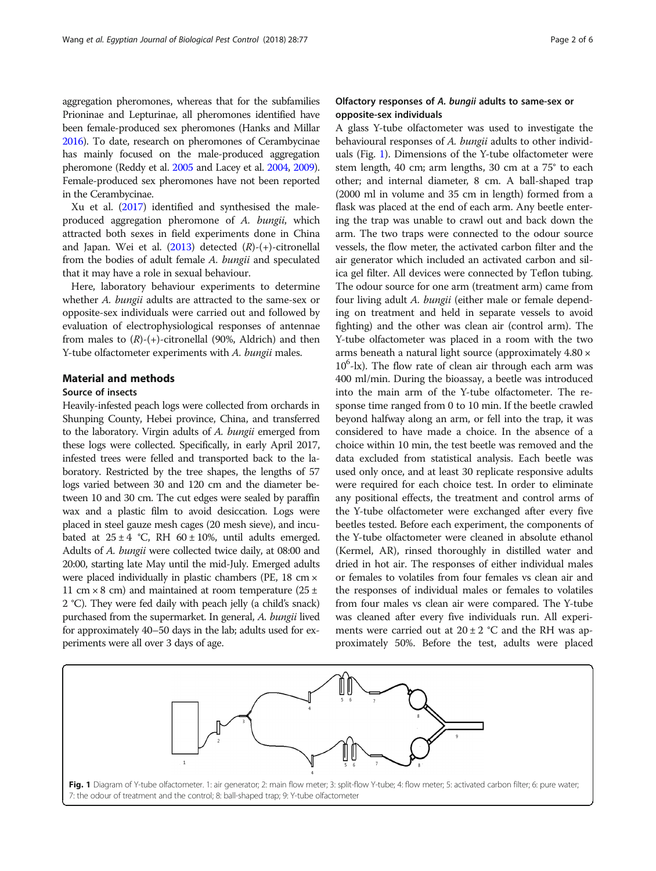aggregation pheromones, whereas that for the subfamilies Prioninae and Lepturinae, all pheromones identified have been female-produced sex pheromones (Hanks and Millar [2016\)](#page-5-0). To date, research on pheromones of Cerambycinae has mainly focused on the male-produced aggregation pheromone (Reddy et al. [2005](#page-5-0) and Lacey et al. [2004,](#page-5-0) [2009](#page-5-0)). Female-produced sex pheromones have not been reported in the Cerambycinae.

Xu et al. ([2017\)](#page-5-0) identified and synthesised the maleproduced aggregation pheromone of A. bungii, which attracted both sexes in field experiments done in China and Japan. Wei et al.  $(2013)$  $(2013)$  detected  $(R)-(+)$ -citronellal from the bodies of adult female A. bungii and speculated that it may have a role in sexual behaviour.

Here, laboratory behaviour experiments to determine whether A. bungii adults are attracted to the same-sex or opposite-sex individuals were carried out and followed by evaluation of electrophysiological responses of antennae from males to  $(R)$ -(+)-citronellal (90%, Aldrich) and then Y-tube olfactometer experiments with A. bungii males.

## Material and methods

## Source of insects

Heavily-infested peach logs were collected from orchards in Shunping County, Hebei province, China, and transferred to the laboratory. Virgin adults of A. bungii emerged from these logs were collected. Specifically, in early April 2017, infested trees were felled and transported back to the laboratory. Restricted by the tree shapes, the lengths of 57 logs varied between 30 and 120 cm and the diameter between 10 and 30 cm. The cut edges were sealed by paraffin wax and a plastic film to avoid desiccation. Logs were placed in steel gauze mesh cages (20 mesh sieve), and incubated at  $25 \pm 4$  °C, RH 60  $\pm$  10%, until adults emerged. Adults of A. bungii were collected twice daily, at 08:00 and 20:00, starting late May until the mid-July. Emerged adults were placed individually in plastic chambers (PE, 18 cm × 11 cm  $\times$  8 cm) and maintained at room temperature (25 ± 2 °C). They were fed daily with peach jelly (a child's snack) purchased from the supermarket. In general, A. bungii lived for approximately 40–50 days in the lab; adults used for experiments were all over 3 days of age.

## Olfactory responses of A. bungii adults to same-sex or opposite-sex individuals

A glass Y-tube olfactometer was used to investigate the behavioural responses of A. bungii adults to other individuals (Fig. 1). Dimensions of the Y-tube olfactometer were stem length, 40 cm; arm lengths, 30 cm at a 75° to each other; and internal diameter, 8 cm. A ball-shaped trap (2000 ml in volume and 35 cm in length) formed from a flask was placed at the end of each arm. Any beetle entering the trap was unable to crawl out and back down the arm. The two traps were connected to the odour source vessels, the flow meter, the activated carbon filter and the air generator which included an activated carbon and silica gel filter. All devices were connected by Teflon tubing. The odour source for one arm (treatment arm) came from four living adult A. bungii (either male or female depending on treatment and held in separate vessels to avoid fighting) and the other was clean air (control arm). The Y-tube olfactometer was placed in a room with the two arms beneath a natural light source (approximately 4.80 × 10<sup>6</sup>-lx). The flow rate of clean air through each arm was 400 ml/min. During the bioassay, a beetle was introduced into the main arm of the Y-tube olfactometer. The response time ranged from 0 to 10 min. If the beetle crawled beyond halfway along an arm, or fell into the trap, it was considered to have made a choice. In the absence of a choice within 10 min, the test beetle was removed and the data excluded from statistical analysis. Each beetle was used only once, and at least 30 replicate responsive adults were required for each choice test. In order to eliminate any positional effects, the treatment and control arms of the Y-tube olfactometer were exchanged after every five beetles tested. Before each experiment, the components of the Y-tube olfactometer were cleaned in absolute ethanol (Kermel, AR), rinsed thoroughly in distilled water and dried in hot air. The responses of either individual males or females to volatiles from four females vs clean air and the responses of individual males or females to volatiles from four males vs clean air were compared. The Y-tube was cleaned after every five individuals run. All experiments were carried out at  $20 \pm 2$  °C and the RH was approximately 50%. Before the test, adults were placed

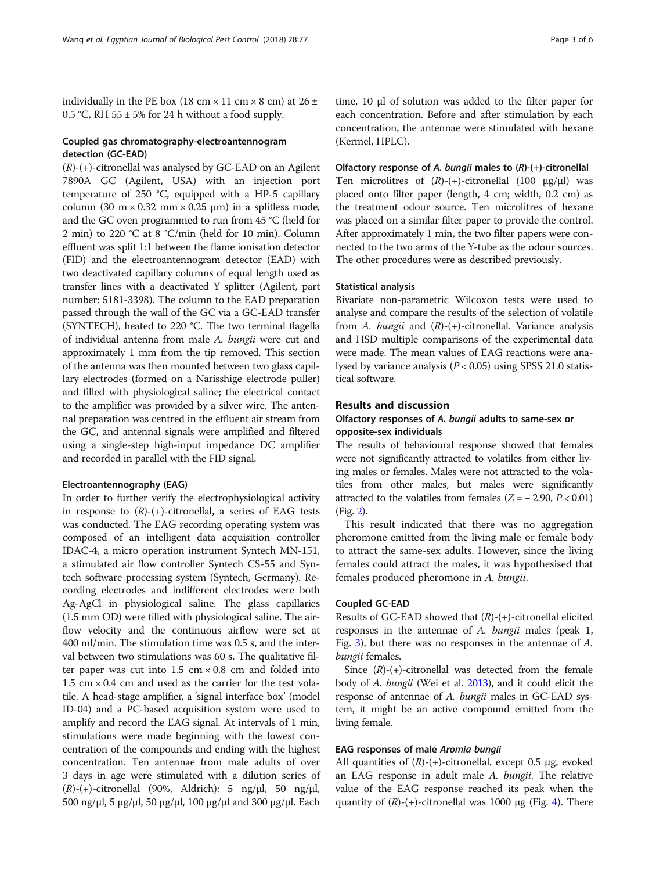individually in the PE box (18 cm  $\times$  11 cm  $\times$  8 cm) at 26  $\pm$ 0.5 °C, RH 55  $\pm$  5% for 24 h without a food supply.

#### Coupled gas chromatography-electroantennogram detection (GC-EAD)

 $(R)-(+)$ -citronellal was analysed by GC-EAD on an Agilent 7890A GC (Agilent, USA) with an injection port temperature of 250 °C, equipped with a HP-5 capillary column (30 m  $\times$  0.32 mm  $\times$  0.25 µm) in a splitless mode, and the GC oven programmed to run from 45 °C (held for 2 min) to 220 °C at 8 °C/min (held for 10 min). Column effluent was split 1:1 between the flame ionisation detector (FID) and the electroantennogram detector (EAD) with two deactivated capillary columns of equal length used as transfer lines with a deactivated Y splitter (Agilent, part number: 5181-3398). The column to the EAD preparation passed through the wall of the GC via a GC-EAD transfer (SYNTECH), heated to 220 °C. The two terminal flagella of individual antenna from male A. bungii were cut and approximately 1 mm from the tip removed. This section of the antenna was then mounted between two glass capillary electrodes (formed on a Narisshige electrode puller) and filled with physiological saline; the electrical contact to the amplifier was provided by a silver wire. The antennal preparation was centred in the effluent air stream from the GC, and antennal signals were amplified and filtered using a single-step high-input impedance DC amplifier and recorded in parallel with the FID signal.

#### Electroantennography (EAG)

In order to further verify the electrophysiological activity in response to  $(R)$ -(+)-citronellal, a series of EAG tests was conducted. The EAG recording operating system was composed of an intelligent data acquisition controller IDAC-4, a micro operation instrument Syntech MN-151, a stimulated air flow controller Syntech CS-55 and Syntech software processing system (Syntech, Germany). Recording electrodes and indifferent electrodes were both Ag-AgCl in physiological saline. The glass capillaries (1.5 mm OD) were filled with physiological saline. The airflow velocity and the continuous airflow were set at 400 ml/min. The stimulation time was 0.5 s, and the interval between two stimulations was 60 s. The qualitative filter paper was cut into  $1.5 \text{ cm} \times 0.8 \text{ cm}$  and folded into  $1.5 \text{ cm} \times 0.4 \text{ cm}$  and used as the carrier for the test volatile. A head-stage amplifier, a 'signal interface box' (model ID-04) and a PC-based acquisition system were used to amplify and record the EAG signal. At intervals of 1 min, stimulations were made beginning with the lowest concentration of the compounds and ending with the highest concentration. Ten antennae from male adults of over 3 days in age were stimulated with a dilution series of  $(R)$ -(+)-citronellal (90%, Aldrich): 5 ng/μl, 50 ng/μl, 500 ng/μl, 5 μg/μl, 50 μg/μl, 100 μg/μl and 300 μg/μl. Each

#### Olfactory response of A. bungii males to (R)-(+)-citronellal

Ten microlitres of  $(R)-(+)$ -citronellal (100 μg/μl) was placed onto filter paper (length, 4 cm; width, 0.2 cm) as the treatment odour source. Ten microlitres of hexane was placed on a similar filter paper to provide the control. After approximately 1 min, the two filter papers were connected to the two arms of the Y-tube as the odour sources. The other procedures were as described previously.

#### Statistical analysis

Bivariate non-parametric Wilcoxon tests were used to analyse and compare the results of the selection of volatile from A. bungii and  $(R)-(+)$ -citronellal. Variance analysis and HSD multiple comparisons of the experimental data were made. The mean values of EAG reactions were analysed by variance analysis ( $P < 0.05$ ) using SPSS 21.0 statistical software.

## Results and discussion

## Olfactory responses of A. bungii adults to same-sex or opposite-sex individuals

The results of behavioural response showed that females were not significantly attracted to volatiles from either living males or females. Males were not attracted to the volatiles from other males, but males were significantly attracted to the volatiles from females  $(Z = -2.90, P < 0.01)$ (Fig. [2\)](#page-3-0).

This result indicated that there was no aggregation pheromone emitted from the living male or female body to attract the same-sex adults. However, since the living females could attract the males, it was hypothesised that females produced pheromone in A. bungii.

#### Coupled GC-EAD

Results of GC-EAD showed that  $(R)$ - $(+)$ -citronellal elicited responses in the antennae of A. bungii males (peak 1, Fig. [3](#page-3-0)), but there was no responses in the antennae of A. bungii females.

Since  $(R)$ -(+)-citronellal was detected from the female body of A. bungii (Wei et al. [2013](#page-5-0)), and it could elicit the response of antennae of A. bungii males in GC-EAD system, it might be an active compound emitted from the living female.

## EAG responses of male Aromia bungii

All quantities of  $(R)$ - $(+)$ -citronellal, except 0.5  $\mu$ g, evoked an EAG response in adult male A. bungii. The relative value of the EAG response reached its peak when the quantity of  $(R)$ -(+)-citronellal was 1000  $\mu$ g (Fig. [4](#page-4-0)). There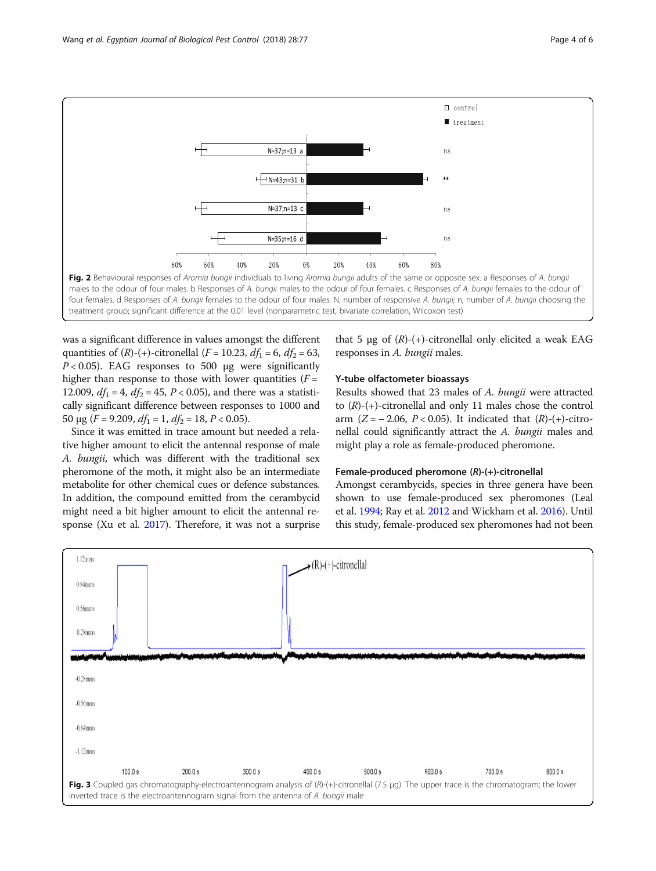<span id="page-3-0"></span>

treatment group; significant difference at the 0.01 level (nonparametric test, bivariate correlation, Wilcoxon test)

was a significant difference in values amongst the different quantities of  $(R)$ -(+)-citronellal (*F* = 10.23, *df*<sub>1</sub> = 6, *df*<sub>2</sub> = 63,  $P < 0.05$ ). EAG responses to 500 μg were significantly higher than response to those with lower quantities  $(F =$ 12.009,  $df_1 = 4$ ,  $df_2 = 45$ ,  $P < 0.05$ ), and there was a statistically significant difference between responses to 1000 and 50 μg ( $F = 9.209$ ,  $df_1 = 1$ ,  $df_2 = 18$ ,  $P < 0.05$ ).

Since it was emitted in trace amount but needed a relative higher amount to elicit the antennal response of male A. bungii, which was different with the traditional sex pheromone of the moth, it might also be an intermediate metabolite for other chemical cues or defence substances. In addition, the compound emitted from the cerambycid might need a bit higher amount to elicit the antennal response (Xu et al. [2017](#page-5-0)). Therefore, it was not a surprise that 5 μg of  $(R)$ -(+)-citronellal only elicited a weak EAG responses in A. bungii males.

#### Y-tube olfactometer bioassays

Results showed that 23 males of A. bungii were attracted to  $(R)$ -(+)-citronellal and only 11 males chose the control arm ( $Z = -2.06$ ,  $P < 0.05$ ). It indicated that  $(R)$ - $(+)$ -citronellal could significantly attract the A. bungii males and might play a role as female-produced pheromone.

#### Female-produced pheromone (R)-(+)-citronellal

Amongst cerambycids, species in three genera have been shown to use female-produced sex pheromones (Leal et al. [1994](#page-5-0); Ray et al. [2012](#page-5-0) and Wickham et al. [2016](#page-5-0)). Until this study, female-produced sex pheromones had not been

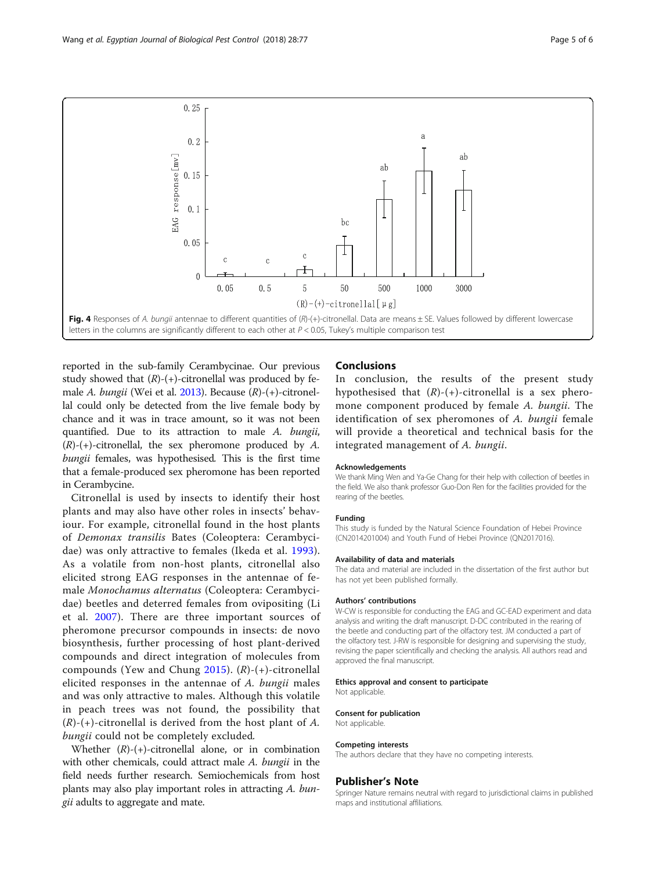<span id="page-4-0"></span>

reported in the sub-family Cerambycinae. Our previous study showed that  $(R)-(+)$ -citronellal was produced by female A. bungii (Wei et al. [2013\)](#page-5-0). Because (R)-(+)-citronellal could only be detected from the live female body by chance and it was in trace amount, so it was not been quantified. Due to its attraction to male A. bungii,  $(R)-(+)$ -citronellal, the sex pheromone produced by A. bungii females, was hypothesised. This is the first time that a female-produced sex pheromone has been reported in Cerambycine.

Citronellal is used by insects to identify their host plants and may also have other roles in insects' behaviour. For example, citronellal found in the host plants of Demonax transilis Bates (Coleoptera: Cerambycidae) was only attractive to females (Ikeda et al. [1993](#page-5-0)). As a volatile from non-host plants, citronellal also elicited strong EAG responses in the antennae of female Monochamus alternatus (Coleoptera: Cerambycidae) beetles and deterred females from ovipositing (Li et al. [2007\)](#page-5-0). There are three important sources of pheromone precursor compounds in insects: de novo biosynthesis, further processing of host plant-derived compounds and direct integration of molecules from compounds (Yew and Chung [2015\)](#page-5-0).  $(R)$ -(+)-citronellal elicited responses in the antennae of A. bungii males and was only attractive to males. Although this volatile in peach trees was not found, the possibility that  $(R)-(+)$ -citronellal is derived from the host plant of A. bungii could not be completely excluded.

Whether  $(R)$ - $(+)$ -citronellal alone, or in combination with other chemicals, could attract male A. bungii in the field needs further research. Semiochemicals from host plants may also play important roles in attracting A. bungii adults to aggregate and mate.

#### **Conclusions**

In conclusion, the results of the present study hypothesised that  $(R)-(+)$ -citronellal is a sex pheromone component produced by female A. bungii. The identification of sex pheromones of A. bungii female will provide a theoretical and technical basis for the integrated management of A. bungii.

#### Acknowledgements

We thank Ming Wen and Ya-Ge Chang for their help with collection of beetles in the field. We also thank professor Guo-Don Ren for the facilities provided for the rearing of the beetles.

#### Funding

This study is funded by the Natural Science Foundation of Hebei Province (CN2014201004) and Youth Fund of Hebei Province (QN2017016).

#### Availability of data and materials

The data and material are included in the dissertation of the first author but has not yet been published formally.

#### Authors' contributions

W-CW is responsible for conducting the EAG and GC-EAD experiment and data analysis and writing the draft manuscript. D-DC contributed in the rearing of the beetle and conducting part of the olfactory test. JM conducted a part of the olfactory test. J-RW is responsible for designing and supervising the study, revising the paper scientifically and checking the analysis. All authors read and approved the final manuscript.

#### Ethics approval and consent to participate

Not applicable.

#### Consent for publication

Not applicable.

#### Competing interests

The authors declare that they have no competing interests.

#### Publisher's Note

Springer Nature remains neutral with regard to jurisdictional claims in published maps and institutional affiliations.